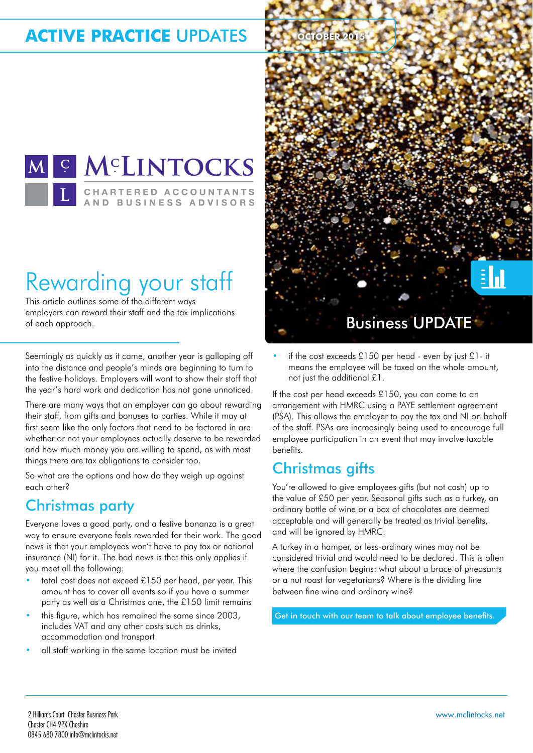## **ACTIVE PRACTICE UPDATES**



## Rewarding your staff

This article outlines some of the different ways employers can reward their staff and the tax implications of each approach.

Seemingly as quickly as it came, another year is galloping off into the distance and people's minds are beginning to turn to the festive holidays. Employers will want to show their staff that the year's hard work and dedication has not gone unnoticed.

There are many ways that an employer can go about rewarding their staff, from gifts and bonuses to parties. While it may at first seem like the only factors that need to be factored in are whether or not your employees actually deserve to be rewarded and how much money you are willing to spend, as with most things there are tax obligations to consider too.

So what are the options and how do they weigh up against each other?

#### Christmas party

Everyone loves a good party, and a festive bonanza is a great way to ensure everyone feels rewarded for their work. The good news is that your employees won't have to pay tax or national insurance (NI) for it. The bad news is that this only applies if you meet all the following:

- total cost does not exceed £150 per head, per year. This amount has to cover all events so if you have a summer party as well as a Christmas one, the £150 limit remains
- this figure, which has remained the same since 2003, includes VAT and any other costs such as drinks, accommodation and transport
- all staff working in the same location must be invited



• if the cost exceeds £150 per head - even by just £1- it means the employee will be taxed on the whole amount, not just the additional £1.

If the cost per head exceeds £150, you can come to an arrangement with HMRC using a PAYE settlement agreement (PSA). This allows the employer to pay the tax and NI on behalf of the staff. PSAs are increasingly being used to encourage full employee participation in an event that may involve taxable benefits.

#### Christmas gifts

You're allowed to give employees gifts (but not cash) up to the value of £50 per year. Seasonal gifts such as a turkey, an ordinary bottle of wine or a box of chocolates are deemed acceptable and will generally be treated as trivial benefits, and will be ignored by HMRC.

A turkey in a hamper, or less-ordinary wines may not be considered trivial and would need to be declared. This is often where the confusion begins: what about a brace of pheasants or a nut roast for vegetarians? Where is the dividing line between fine wine and ordinary wine?

Get in touch with our team to talk about employee benefits.